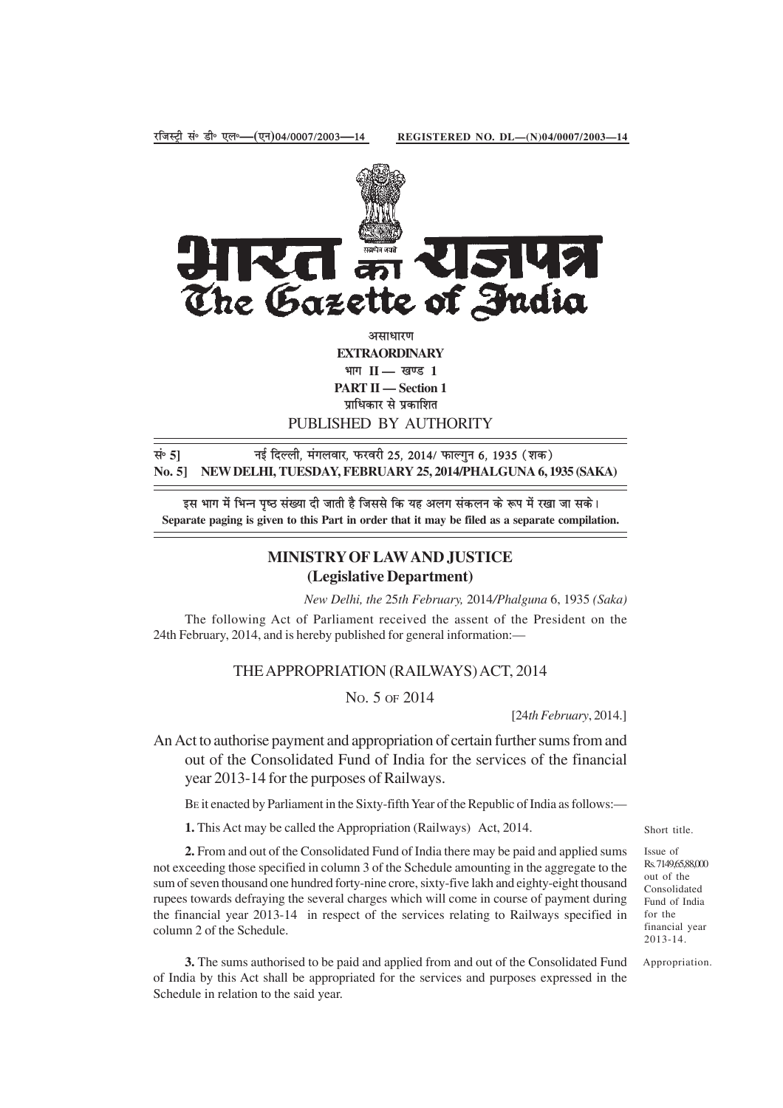

असाधारण **EXTRAORDINARY** भाग II — खण्ड 1 **PART II — Section 1** प्राधिकार से प्रकाशित PUBLISHED BY AUTHORITY

सं॰ 5] <sup>नई दिल्ली, मंगलवार, फरवरी 25, 2014/ फाल्गुन 6, 1935 (शक)</sup> **No. 5] NEW DELHI, TUESDAY, FEBRUARY 25, 2014/PHALGUNA 6, 1935 (SAKA)**

इस भाग में भिन्न पष्ठ संख्या दी जाती है जिससे कि यह अलग संकलन के रूप में रखा जा सके। **Separate paging is given to this Part in order that it may be filed as a separate compilation.**

## **MINISTRY OF LAW AND JUSTICE (Legislative Department)**

*New Delhi, the* 25*th February,* 2014*/Phalguna* 6, 1935 *(Saka)*

The following Act of Parliament received the assent of the President on the 24th February, 2014, and is hereby published for general information:—

## THE APPROPRIATION (RAILWAYS) ACT, 2014

NO. 5 OF 2014

[24*th February*, 2014.]

An Act to authorise payment and appropriation of certain further sums from and out of the Consolidated Fund of India for the services of the financial year 2013-14 for the purposes of Railways.

BE it enacted by Parliament in the Sixty-fifth Year of the Republic of India as follows:—

**1.** This Act may be called the Appropriation (Railways) Act, 2014.

**2.** From and out of the Consolidated Fund of India there may be paid and applied sums not exceeding those specified in column 3 of the Schedule amounting in the aggregate to the sum of seven thousand one hundred forty-nine crore, sixty-five lakh and eighty-eight thousand rupees towards defraying the several charges which will come in course of payment during the financial year 2013-14 in respect of the services relating to Railways specified in column 2 of the Schedule.

**3.** The sums authorised to be paid and applied from and out of the Consolidated Fund of India by this Act shall be appropriated for the services and purposes expressed in the Schedule in relation to the said year.

Short title.

Issue of Rs. 7149,65,88,000 out of the Consolidated Fund of India for the financial year 2013-14.

Appropriation.